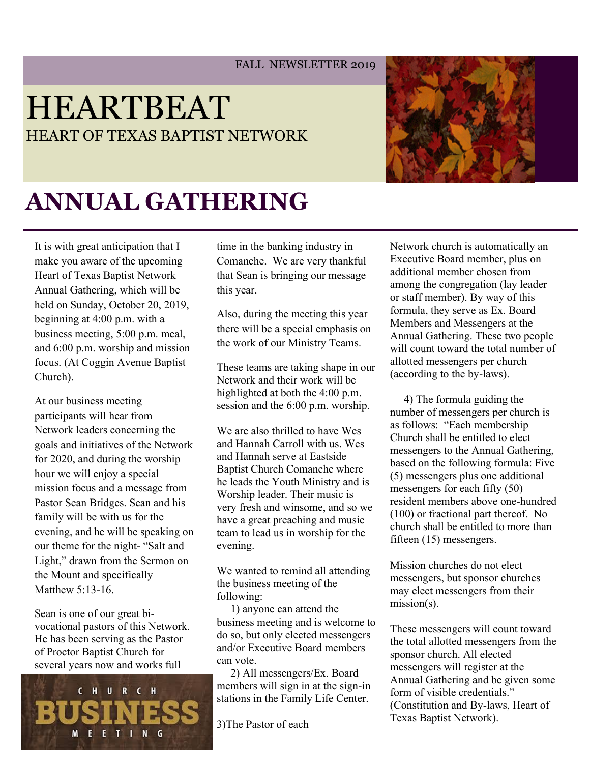#### FALL NEWSLETTER 2019

## HEARTBEAT HEART OF TEXAS BAPTIST NETWORK



# **ANNUAL GATHERING**

It is with great anticipation that I make you aware of the upcoming Heart of Texas Baptist Network Annual Gathering, which will be held on Sunday, October 20, 2019, beginning at 4:00 p.m. with a business meeting, 5:00 p.m. meal, and 6:00 p.m. worship and mission focus. (At Coggin Avenue Baptist Church).

At our business meeting participants will hear from Network leaders concerning the goals and initiatives of the Network for 2020, and during the worship hour we will enjoy a special mission focus and a message from Pastor Sean Bridges. Sean and his family will be with us for the evening, and he will be speaking on our theme for the night- "Salt and Light," drawn from the Sermon on the Mount and specifically Matthew 5:13-16.

Sean is one of our great bivocational pastors of this Network. He has been serving as the Pastor of Proctor Baptist Church for several years now and works full



time in the banking industry in Comanche. We are very thankful that Sean is bringing our message this year.

Also, during the meeting this year there will be a special emphasis on the work of our Ministry Teams.

These teams are taking shape in our Network and their work will be highlighted at both the 4:00 p.m. session and the 6:00 p.m. worship.

We are also thrilled to have Wes and Hannah Carroll with us. Wes and Hannah serve at Eastside Baptist Church Comanche where he leads the Youth Ministry and is Worship leader. Their music is very fresh and winsome, and so we have a great preaching and music team to lead us in worship for the evening.

We wanted to remind all attending the business meeting of the following:

 1) anyone can attend the business meeting and is welcome to do so, but only elected messengers and/or Executive Board members can vote.

 2) All messengers/Ex. Board members will sign in at the sign-in stations in the Family Life Center.

3)The Pastor of each

Network church is automatically an Executive Board member, plus on additional member chosen from among the congregation (lay leader or staff member). By way of this formula, they serve as Ex. Board Members and Messengers at the Annual Gathering. These two people will count toward the total number of allotted messengers per church (according to the by-laws).

 4) The formula guiding the number of messengers per church is as follows: "Each membership Church shall be entitled to elect messengers to the Annual Gathering, based on the following formula: Five (5) messengers plus one additional messengers for each fifty (50) resident members above one-hundred (100) or fractional part thereof. No church shall be entitled to more than fifteen (15) messengers.

Mission churches do not elect messengers, but sponsor churches may elect messengers from their mission(s).

These messengers will count toward the total allotted messengers from the sponsor church. All elected messengers will register at the Annual Gathering and be given some form of visible credentials." (Constitution and By-laws, Heart of Texas Baptist Network).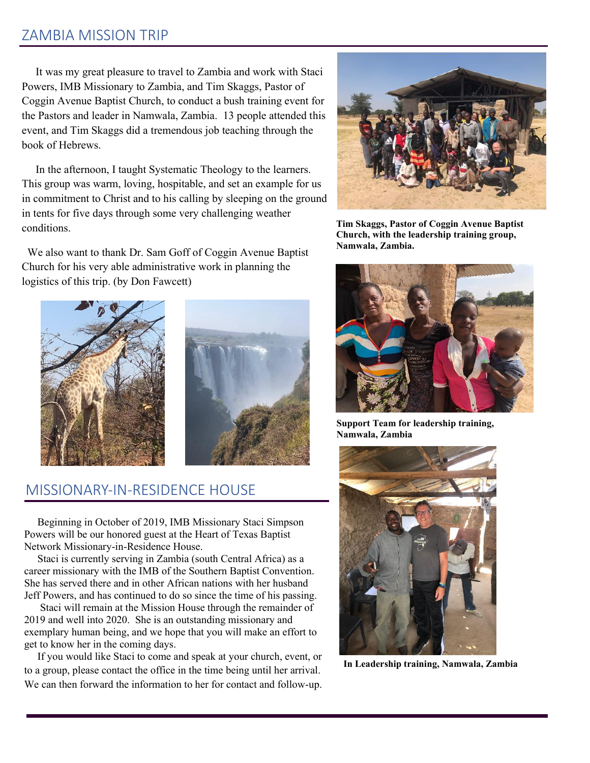#### ZAMBIA MISSION TRIP

 It was my great pleasure to travel to Zambia and work with Staci Powers, IMB Missionary to Zambia, and Tim Skaggs, Pastor of Coggin Avenue Baptist Church, to conduct a bush training event for the Pastors and leader in Namwala, Zambia. 13 people attended this event, and Tim Skaggs did a tremendous job teaching through the book of Hebrews.

 In the afternoon, I taught Systematic Theology to the learners. This group was warm, loving, hospitable, and set an example for us in commitment to Christ and to his calling by sleeping on the ground in tents for five days through some very challenging weather conditions.

 We also want to thank Dr. Sam Goff of Coggin Avenue Baptist Church for his very able administrative work in planning the logistics of this trip. (by Don Fawcett)



#### MISSIONARY-IN-RESIDENCE HOUSE

 Beginning in October of 2019, IMB Missionary Staci Simpson Powers will be our honored guest at the Heart of Texas Baptist Network Missionary-in-Residence House.

 Staci is currently serving in Zambia (south Central Africa) as a career missionary with the IMB of the Southern Baptist Convention. She has served there and in other African nations with her husband Jeff Powers, and has continued to do so since the time of his passing.

 Staci will remain at the Mission House through the remainder of 2019 and well into 2020. She is an outstanding missionary and exemplary human being, and we hope that you will make an effort to get to know her in the coming days.

 If you would like Staci to come and speak at your church, event, or to a group, please contact the office in the time being until her arrival. We can then forward the information to her for contact and follow-up.



**Tim Skaggs, Pastor of Coggin Avenue Baptist Church, with the leadership training group, Namwala, Zambia.**



**Support Team for leadership training, Namwala, Zambia**



**In Leadership training, Namwala, Zambia**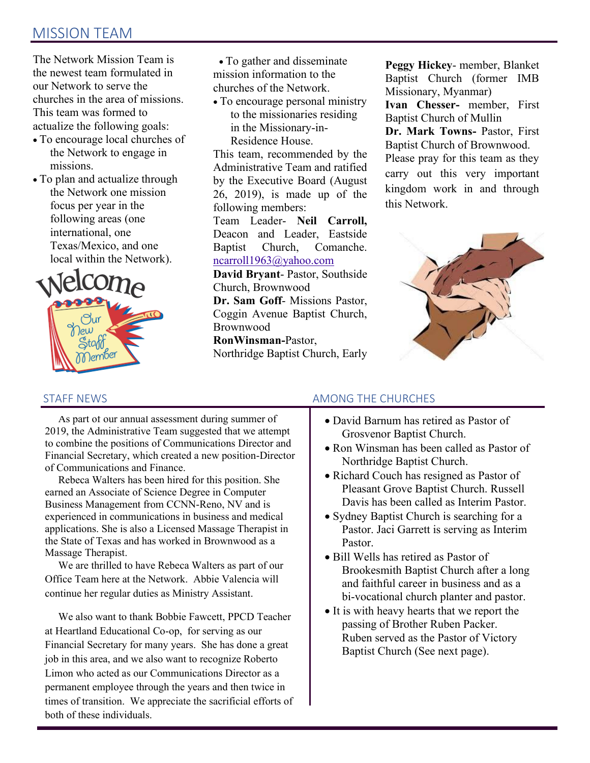### MISSION TEAM

The Network Mission Team is the newest team formulated in our Network to serve the churches in the area of missions. This team was formed to actualize the following goals:

- To encourage local churches of the Network to engage in missions.
- To plan and actualize through the Network one mission focus per year in the following areas (one international, one Texas/Mexico, and one local within the Network).



 • To gather and disseminate mission information to the churches of the Network.

• To encourage personal ministry to the missionaries residing in the Missionary-in-Residence House.

This team, recommended by the Administrative Team and ratified by the Executive Board (August 26, 2019), is made up of the following members:

Team Leader- **Neil Carroll,**  Deacon and Leader, Eastside Baptist Church, Comanche. [ncarroll1963@yahoo.com](mailto:ncarroll1963@yahoo.com)

**David Bryant**- Pastor, Southside Church, Brownwood **Dr. Sam Goff**- Missions Pastor,

Coggin Avenue Baptist Church, Brownwood

**RonWinsman-**Pastor, Northridge Baptist Church, Early **Peggy Hickey**- member, Blanket Baptist Church (former IMB Missionary, Myanmar)

**Ivan Chesser-** member, First Baptist Church of Mullin

**Dr. Mark Towns-** Pastor, First Baptist Church of Brownwood. Please pray for this team as they carry out this very important kingdom work in and through this Network.



#### STAFF NEWS

 As part of our annual assessment during summer of 2019, the Administrative Team suggested that we attempt to combine the positions of Communications Director and Financial Secretary, which created a new position-Director of Communications and Finance.

 Rebeca Walters has been hired for this position. She earned an Associate of Science Degree in Computer Business Management from CCNN-Reno, NV and is experienced in communications in business and medical applications. She is also a Licensed Massage Therapist in the State of Texas and has worked in Brownwood as a Massage Therapist.

 We are thrilled to have Rebeca Walters as part of our Office Team here at the Network. Abbie Valencia will continue her regular duties as Ministry Assistant.

 We also want to thank Bobbie Fawcett, PPCD Teacher at Heartland Educational Co-op, for serving as our Financial Secretary for many years. She has done a great job in this area, and we also want to recognize Roberto Limon who acted as our Communications Director as a permanent employee through the years and then twice in times of transition. We appreciate the sacrificial efforts of both of these individuals.

#### AMONG THE CHURCHES

- David Barnum has retired as Pastor of Grosvenor Baptist Church.
- Ron Winsman has been called as Pastor of Northridge Baptist Church.
- Richard Couch has resigned as Pastor of Pleasant Grove Baptist Church. Russell Davis has been called as Interim Pastor.
- Sydney Baptist Church is searching for a Pastor. Jaci Garrett is serving as Interim Pastor.
- Bill Wells has retired as Pastor of Brookesmith Baptist Church after a long and faithful career in business and as a bi-vocational church planter and pastor.
- It is with heavy hearts that we report the passing of Brother Ruben Packer. Ruben served as the Pastor of Victory Baptist Church (See next page).